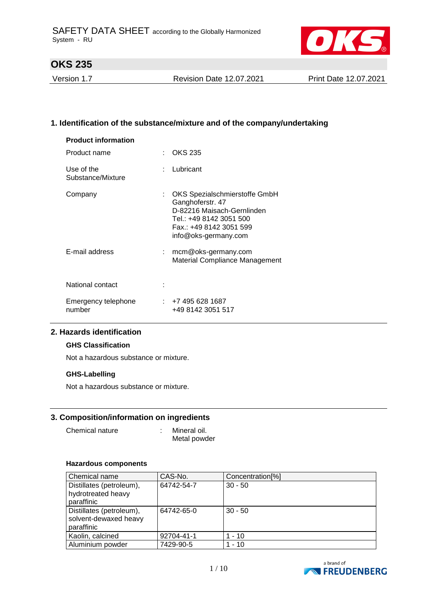

Version 1.7 Revision Date 12.07.2021 Print Date 12.07.2021

### **1. Identification of the substance/mixture and of the company/undertaking**

| <b>Product information</b>      |    |                                                                                                                                                               |
|---------------------------------|----|---------------------------------------------------------------------------------------------------------------------------------------------------------------|
| Product name                    | ÷  | OKS 235                                                                                                                                                       |
| Use of the<br>Substance/Mixture |    | : Lubricant                                                                                                                                                   |
| Company                         | t. | OKS Spezialschmierstoffe GmbH<br>Ganghoferstr. 47<br>D-82216 Maisach-Gernlinden<br>Tel.: +49 8142 3051 500<br>Fax.: +49 8142 3051 599<br>info@oks-germany.com |
| E-mail address                  |    | mcm@oks-germany.com<br>Material Compliance Management                                                                                                         |
| National contact                |    |                                                                                                                                                               |
| Emergency telephone<br>number   |    | : +7 495 628 1687<br>+49 8142 3051 517                                                                                                                        |

#### **2. Hazards identification**

### **GHS Classification**

Not a hazardous substance or mixture.

#### **GHS-Labelling**

Not a hazardous substance or mixture.

#### **3. Composition/information on ingredients**

: Mineral oil. Metal powder

#### **Hazardous components**

| Chemical name                                                   | CAS-No.    | Concentration <sup>[%]</sup><br>$30 - 50$ |  |  |
|-----------------------------------------------------------------|------------|-------------------------------------------|--|--|
| Distillates (petroleum),<br>hydrotreated heavy<br>paraffinic    | 64742-54-7 |                                           |  |  |
| Distillates (petroleum),<br>solvent-dewaxed heavy<br>paraffinic | 64742-65-0 | $30 - 50$                                 |  |  |
| Kaolin, calcined                                                | 92704-41-1 | $1 - 10$                                  |  |  |
| Aluminium powder                                                | 7429-90-5  | $1 - 10$                                  |  |  |

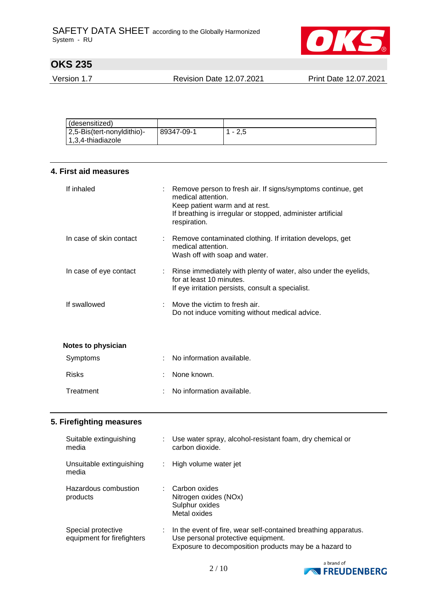

Version 1.7 Revision Date 12.07.2021 Print Date 12.07.2021

| (desensitized)             |            |       |
|----------------------------|------------|-------|
| 2,5-Bis(tert-nonyldithio)- | 89347-09-1 | - 2.5 |
| $ 1,3,4$ -thiadiazole      |            |       |

| 4. First aid measures   |  |                                                                                                                                                                                                    |  |  |  |
|-------------------------|--|----------------------------------------------------------------------------------------------------------------------------------------------------------------------------------------------------|--|--|--|
| If inhaled              |  | Remove person to fresh air. If signs/symptoms continue, get<br>medical attention.<br>Keep patient warm and at rest.<br>If breathing is irregular or stopped, administer artificial<br>respiration. |  |  |  |
| In case of skin contact |  | : Remove contaminated clothing. If irritation develops, get<br>medical attention.<br>Wash off with soap and water.                                                                                 |  |  |  |
| In case of eye contact  |  | Rinse immediately with plenty of water, also under the eyelids,<br>for at least 10 minutes.<br>If eye irritation persists, consult a specialist.                                                   |  |  |  |
| If swallowed            |  | Move the victim to fresh air.<br>Do not induce vomiting without medical advice.                                                                                                                    |  |  |  |
| Notes to physician      |  |                                                                                                                                                                                                    |  |  |  |
| Symptoms                |  | No information available.                                                                                                                                                                          |  |  |  |
| <b>Risks</b>            |  | None known.                                                                                                                                                                                        |  |  |  |
| Treatment               |  | No information available.                                                                                                                                                                          |  |  |  |

### **5. Firefighting measures**

| Suitable extinguishing                  | Use water spray, alcohol-resistant foam, dry chemical or                 |
|-----------------------------------------|--------------------------------------------------------------------------|
| media                                   | carbon dioxide.                                                          |
| Unsuitable extinguishing<br>t.<br>media | High volume water jet                                                    |
| Hazardous combustion<br>products        | Carbon oxides<br>Nitrogen oxides (NOx)<br>Sulphur oxides<br>Metal oxides |
| Special protective                      | In the event of fire, wear self-contained breathing apparatus.           |
| ÷                                       | Use personal protective equipment.                                       |
| equipment for firefighters              | Exposure to decomposition products may be a hazard to                    |

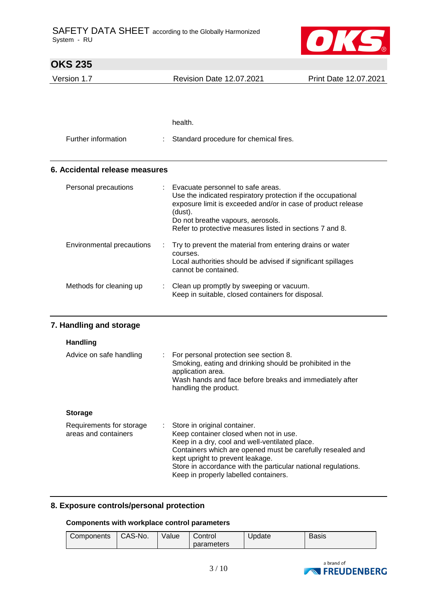

| <b>OKS 235</b>                 |  |                                                                                                                                                                                                                                                                               |                       |  |  |
|--------------------------------|--|-------------------------------------------------------------------------------------------------------------------------------------------------------------------------------------------------------------------------------------------------------------------------------|-----------------------|--|--|
| Version 1.7                    |  | <b>Revision Date 12.07.2021</b>                                                                                                                                                                                                                                               | Print Date 12.07.2021 |  |  |
|                                |  |                                                                                                                                                                                                                                                                               |                       |  |  |
|                                |  |                                                                                                                                                                                                                                                                               |                       |  |  |
|                                |  | health.                                                                                                                                                                                                                                                                       |                       |  |  |
| Further information            |  | Standard procedure for chemical fires.                                                                                                                                                                                                                                        |                       |  |  |
| 6. Accidental release measures |  |                                                                                                                                                                                                                                                                               |                       |  |  |
| Personal precautions           |  | Evacuate personnel to safe areas.<br>Use the indicated respiratory protection if the occupational<br>exposure limit is exceeded and/or in case of product release<br>(dust).<br>Do not breathe vapours, aerosols.<br>Refer to protective measures listed in sections 7 and 8. |                       |  |  |
| Environmental precautions      |  | Try to prevent the material from entering drains or water<br>courses.<br>Local authorities should be advised if significant spillages<br>cannot be contained.                                                                                                                 |                       |  |  |
| Methods for cleaning up        |  | Clean up promptly by sweeping or vacuum.<br>Keep in suitable, closed containers for disposal.                                                                                                                                                                                 |                       |  |  |
| 7. Handling and storage        |  |                                                                                                                                                                                                                                                                               |                       |  |  |
| Handling                       |  |                                                                                                                                                                                                                                                                               |                       |  |  |
| Advice on safe handling        |  | : For personal protection see section 8.<br>Smoking, eating and drinking should be prohibited in the                                                                                                                                                                          |                       |  |  |

| <b>Storage</b> |  |
|----------------|--|

| Keep in properly labelled containers. | Requirements for storage<br>areas and containers |  | : Store in original container.<br>Keep container closed when not in use.<br>Keep in a dry, cool and well-ventilated place.<br>Containers which are opened must be carefully resealed and<br>kept upright to prevent leakage.<br>Store in accordance with the particular national regulations. |
|---------------------------------------|--------------------------------------------------|--|-----------------------------------------------------------------------------------------------------------------------------------------------------------------------------------------------------------------------------------------------------------------------------------------------|
|---------------------------------------|--------------------------------------------------|--|-----------------------------------------------------------------------------------------------------------------------------------------------------------------------------------------------------------------------------------------------------------------------------------------------|

Wash hands and face before breaks and immediately after

application area.

handling the product.

#### **8. Exposure controls/personal protection**

**Components with workplace control parameters**

| <b>Components</b> | CAS-No. | Value | Control    | Update | <b>Basis</b> |
|-------------------|---------|-------|------------|--------|--------------|
|                   |         |       | parameters |        |              |

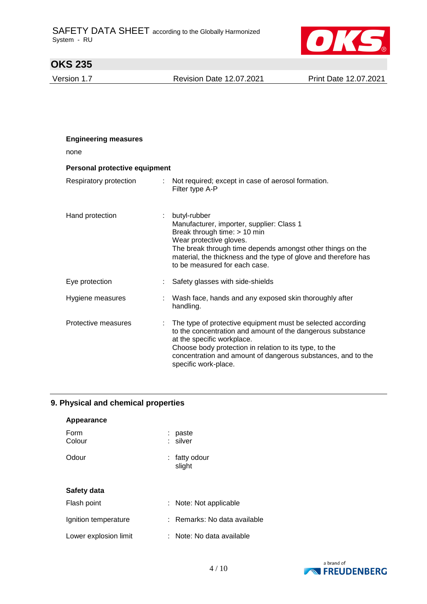

Version 1.7 Revision Date 12.07.2021 Print Date 12.07.2021

| <b>Engineering measures</b>   |   |                                                                                                                                                                                                                                                                                                           |
|-------------------------------|---|-----------------------------------------------------------------------------------------------------------------------------------------------------------------------------------------------------------------------------------------------------------------------------------------------------------|
| none                          |   |                                                                                                                                                                                                                                                                                                           |
| Personal protective equipment |   |                                                                                                                                                                                                                                                                                                           |
| Respiratory protection        | ÷ | Not required; except in case of aerosol formation.<br>Filter type A-P                                                                                                                                                                                                                                     |
| Hand protection               |   | butyl-rubber<br>Manufacturer, importer, supplier: Class 1<br>Break through time: > 10 min<br>Wear protective gloves.<br>The break through time depends amongst other things on the<br>material, the thickness and the type of glove and therefore has<br>to be measured for each case.                    |
| Eye protection                |   | Safety glasses with side-shields                                                                                                                                                                                                                                                                          |
| Hygiene measures              |   | Wash face, hands and any exposed skin thoroughly after<br>handling.                                                                                                                                                                                                                                       |
| Protective measures           |   | The type of protective equipment must be selected according<br>to the concentration and amount of the dangerous substance<br>at the specific workplace.<br>Choose body protection in relation to its type, to the<br>concentration and amount of dangerous substances, and to the<br>specific work-place. |

### **9. Physical and chemical properties**

| Appearance            |                            |
|-----------------------|----------------------------|
| Form<br>Colour        | paste<br>silver            |
| Odour                 | fatty odour<br>slight      |
| Safety data           |                            |
| Flash point           | : Note: Not applicable     |
| Ignition temperature  | Remarks: No data available |
| Lower explosion limit | : Note: No data available  |

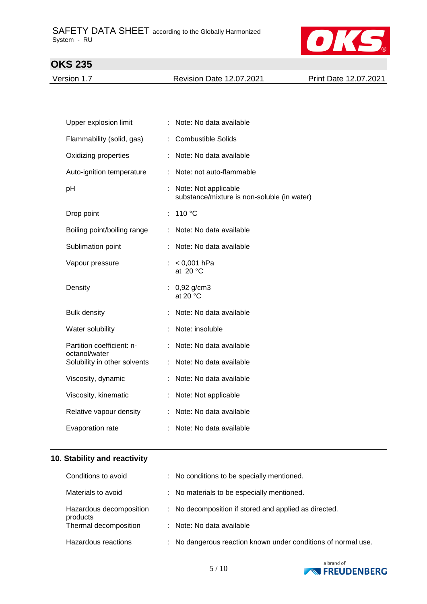

Version 1.7 Revision Date 12.07.2021 Print Date 12.07.2021

| Upper explosion limit                      |   | Note: No data available                                               |
|--------------------------------------------|---|-----------------------------------------------------------------------|
| Flammability (solid, gas)                  |   | <b>Combustible Solids</b>                                             |
| Oxidizing properties                       |   | : Note: No data available                                             |
| Auto-ignition temperature                  |   | : Note: not auto-flammable                                            |
| рH                                         |   | : Note: Not applicable<br>substance/mixture is non-soluble (in water) |
| Drop point                                 | ÷ | 110 °C                                                                |
| Boiling point/boiling range                |   | Note: No data available                                               |
| Sublimation point                          |   | Note: No data available                                               |
| Vapour pressure                            |   | : $< 0.001$ hPa<br>at $20 °C$                                         |
| Density                                    |   | : $0,92$ g/cm3<br>at 20 $\degree$ C                                   |
| <b>Bulk density</b>                        |   | Note: No data available                                               |
| Water solubility                           |   | Note: insoluble                                                       |
| Partition coefficient: n-<br>octanol/water |   | Note: No data available                                               |
| Solubility in other solvents               |   | : Note: No data available                                             |
| Viscosity, dynamic                         |   | Note: No data available                                               |
| Viscosity, kinematic                       |   | : Note: Not applicable                                                |
| Relative vapour density                    |   | Note: No data available                                               |
| Evaporation rate                           |   | Note: No data available                                               |

### **10. Stability and reactivity**

| Conditions to avoid                 | : No conditions to be specially mentioned.                    |
|-------------------------------------|---------------------------------------------------------------|
| Materials to avoid                  | : No materials to be especially mentioned.                    |
| Hazardous decomposition<br>products | : No decomposition if stored and applied as directed.         |
| Thermal decomposition               | : Note: No data available                                     |
| Hazardous reactions                 | : No dangerous reaction known under conditions of normal use. |

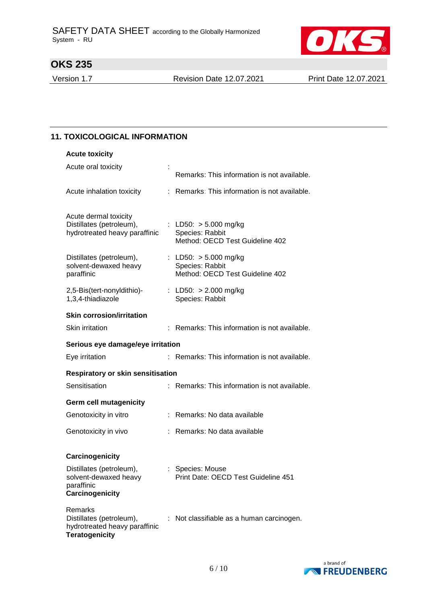

Version 1.7 Revision Date 12.07.2021 Print Date 12.07.2021

#### **11. TOXICOLOGICAL INFORMATION**

| <b>Acute toxicity</b>                                                                         |    |                                                                               |  |  |  |  |  |
|-----------------------------------------------------------------------------------------------|----|-------------------------------------------------------------------------------|--|--|--|--|--|
| Acute oral toxicity                                                                           |    | Remarks: This information is not available.                                   |  |  |  |  |  |
| Acute inhalation toxicity                                                                     |    | : Remarks: This information is not available.                                 |  |  |  |  |  |
| Acute dermal toxicity<br>Distillates (petroleum),<br>hydrotreated heavy paraffinic            |    | : LD50: $> 5.000$ mg/kg<br>Species: Rabbit<br>Method: OECD Test Guideline 402 |  |  |  |  |  |
| Distillates (petroleum),<br>solvent-dewaxed heavy<br>paraffinic                               |    | : LD50: $> 5.000$ mg/kg<br>Species: Rabbit<br>Method: OECD Test Guideline 402 |  |  |  |  |  |
| 2,5-Bis(tert-nonyldithio)-<br>1,3,4-thiadiazole                                               |    | : LD50: > 2.000 mg/kg<br>Species: Rabbit                                      |  |  |  |  |  |
| <b>Skin corrosion/irritation</b>                                                              |    |                                                                               |  |  |  |  |  |
| Skin irritation                                                                               |    | : Remarks: This information is not available.                                 |  |  |  |  |  |
| Serious eye damage/eye irritation                                                             |    |                                                                               |  |  |  |  |  |
| Eye irritation                                                                                |    | : Remarks: This information is not available.                                 |  |  |  |  |  |
| Respiratory or skin sensitisation                                                             |    |                                                                               |  |  |  |  |  |
| Sensitisation                                                                                 | t. | Remarks: This information is not available.                                   |  |  |  |  |  |
| <b>Germ cell mutagenicity</b>                                                                 |    |                                                                               |  |  |  |  |  |
| Genotoxicity in vitro                                                                         |    | : Remarks: No data available                                                  |  |  |  |  |  |
| Genotoxicity in vivo                                                                          |    | : Remarks: No data available                                                  |  |  |  |  |  |
| Carcinogenicity                                                                               |    |                                                                               |  |  |  |  |  |
| Distillates (petroleum),<br>solvent-dewaxed heavy<br>paraffinic<br>Carcinogenicity            |    | : Species: Mouse<br>Print Date: OECD Test Guideline 451                       |  |  |  |  |  |
| Remarks<br>Distillates (petroleum),<br>hydrotreated heavy paraffinic<br><b>Teratogenicity</b> |    | : Not classifiable as a human carcinogen.                                     |  |  |  |  |  |

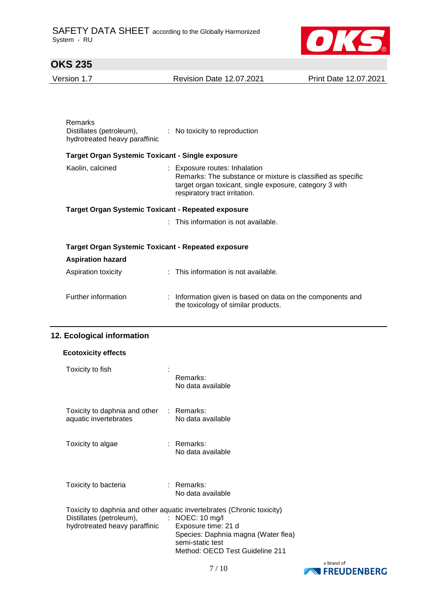

Version 1.7 Revision Date 12.07.2021 Print Date 12.07.2021

| Remarks<br>Distillates (petroleum),<br>hydrotreated heavy paraffinic | : No toxicity to reproduction                                                                                                                                                            |  |  |  |  |  |
|----------------------------------------------------------------------|------------------------------------------------------------------------------------------------------------------------------------------------------------------------------------------|--|--|--|--|--|
| <b>Target Organ Systemic Toxicant - Single exposure</b>              |                                                                                                                                                                                          |  |  |  |  |  |
| Kaolin, calcined                                                     | : Exposure routes: Inhalation<br>Remarks: The substance or mixture is classified as specific<br>target organ toxicant, single exposure, category 3 with<br>respiratory tract irritation. |  |  |  |  |  |
| Target Organ Systemic Toxicant - Repeated exposure                   |                                                                                                                                                                                          |  |  |  |  |  |
|                                                                      | : This information is not available.                                                                                                                                                     |  |  |  |  |  |
| Target Organ Systemic Toxicant - Repeated exposure                   |                                                                                                                                                                                          |  |  |  |  |  |
| <b>Aspiration hazard</b>                                             |                                                                                                                                                                                          |  |  |  |  |  |
| Aspiration toxicity                                                  | : This information is not available.                                                                                                                                                     |  |  |  |  |  |
| Further information                                                  | : Information given is based on data on the components and<br>the toxicology of similar products.                                                                                        |  |  |  |  |  |

### **12. Ecological information**

| <b>Ecotoxicity effects</b>                                        |                                                                                                                                                                                                                          |
|-------------------------------------------------------------------|--------------------------------------------------------------------------------------------------------------------------------------------------------------------------------------------------------------------------|
| Toxicity to fish                                                  | Remarks:<br>No data available                                                                                                                                                                                            |
| Toxicity to daphnia and other : Remarks:<br>aquatic invertebrates | No data available                                                                                                                                                                                                        |
| Toxicity to algae                                                 | : Remarks:<br>No data available                                                                                                                                                                                          |
| Toxicity to bacteria                                              | : Remarks:<br>No data available                                                                                                                                                                                          |
| Distillates (petroleum),<br>hydrotreated heavy paraffinic         | Toxicity to daphnia and other aquatic invertebrates (Chronic toxicity)<br>: NOEC: $10 \text{ mg/l}$<br>Exposure time: 21 d<br>Species: Daphnia magna (Water flea)<br>semi-static test<br>Method: OECD Test Guideline 211 |

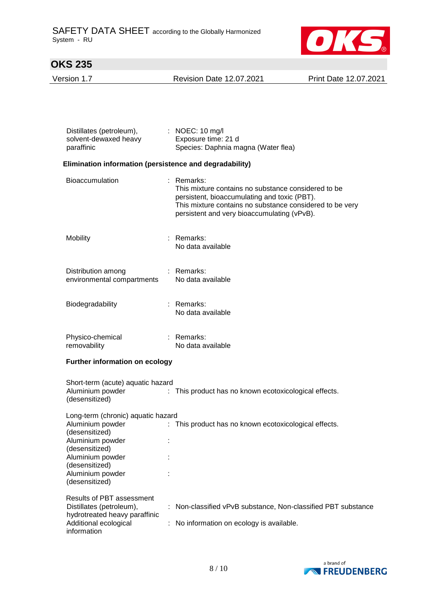

Version 1.7 Revision Date 12.07.2021 Print Date 12.07.2021

| Distillates (petroleum),<br>solvent-dewaxed heavy<br>paraffinic                                                                                                                            | $\therefore$ NOEC: 10 mg/l<br>Exposure time: 21 d<br>Species: Daphnia magna (Water flea)                                                                                                                                       |
|--------------------------------------------------------------------------------------------------------------------------------------------------------------------------------------------|--------------------------------------------------------------------------------------------------------------------------------------------------------------------------------------------------------------------------------|
| Elimination information (persistence and degradability)                                                                                                                                    |                                                                                                                                                                                                                                |
| Bioaccumulation                                                                                                                                                                            | $:$ Remarks:<br>This mixture contains no substance considered to be<br>persistent, bioaccumulating and toxic (PBT).<br>This mixture contains no substance considered to be very<br>persistent and very bioaccumulating (vPvB). |
| Mobility                                                                                                                                                                                   | : Remarks:<br>No data available                                                                                                                                                                                                |
| Distribution among<br>environmental compartments                                                                                                                                           | : Remarks:<br>No data available                                                                                                                                                                                                |
| Biodegradability                                                                                                                                                                           | : Remarks:<br>No data available                                                                                                                                                                                                |
| Physico-chemical<br>removability                                                                                                                                                           | : Remarks:<br>No data available                                                                                                                                                                                                |
| <b>Further information on ecology</b>                                                                                                                                                      |                                                                                                                                                                                                                                |
| Short-term (acute) aquatic hazard<br>Aluminium powder<br>(desensitized)                                                                                                                    | : This product has no known ecotoxicological effects.                                                                                                                                                                          |
| Long-term (chronic) aquatic hazard<br>Aluminium powder<br>(desensitized)<br>Aluminium powder<br>(desensitized)<br>Aluminium powder<br>(desensitized)<br>Aluminium powder<br>(desensitized) | : This product has no known ecotoxicological effects.                                                                                                                                                                          |
| <b>Results of PBT assessment</b><br>Distillates (petroleum),<br>hydrotreated heavy paraffinic<br>Additional ecological<br>information                                                      | Non-classified vPvB substance, Non-classified PBT substance<br>No information on ecology is available.                                                                                                                         |

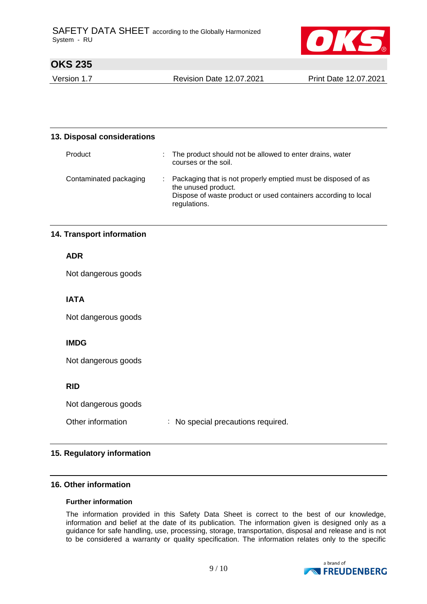

Version 1.7 Revision Date 12.07.2021 Print Date 12.07.2021

| 13. Disposal considerations |  |                                                                                                                                                                        |  |  |  |
|-----------------------------|--|------------------------------------------------------------------------------------------------------------------------------------------------------------------------|--|--|--|
| Product                     |  | The product should not be allowed to enter drains, water<br>courses or the soil.                                                                                       |  |  |  |
| Contaminated packaging      |  | Packaging that is not properly emptied must be disposed of as<br>the unused product.<br>Dispose of waste product or used containers according to local<br>regulations. |  |  |  |

### **14. Transport information**

**ADR**

Not dangerous goods

### **IATA**

Not dangerous goods

### **IMDG**

Not dangerous goods

#### **RID**

Not dangerous goods

| Other information |  |  | No special precautions required. |  |
|-------------------|--|--|----------------------------------|--|
|-------------------|--|--|----------------------------------|--|

#### **15. Regulatory information**

#### **16. Other information**

#### **Further information**

The information provided in this Safety Data Sheet is correct to the best of our knowledge, information and belief at the date of its publication. The information given is designed only as a guidance for safe handling, use, processing, storage, transportation, disposal and release and is not to be considered a warranty or quality specification. The information relates only to the specific